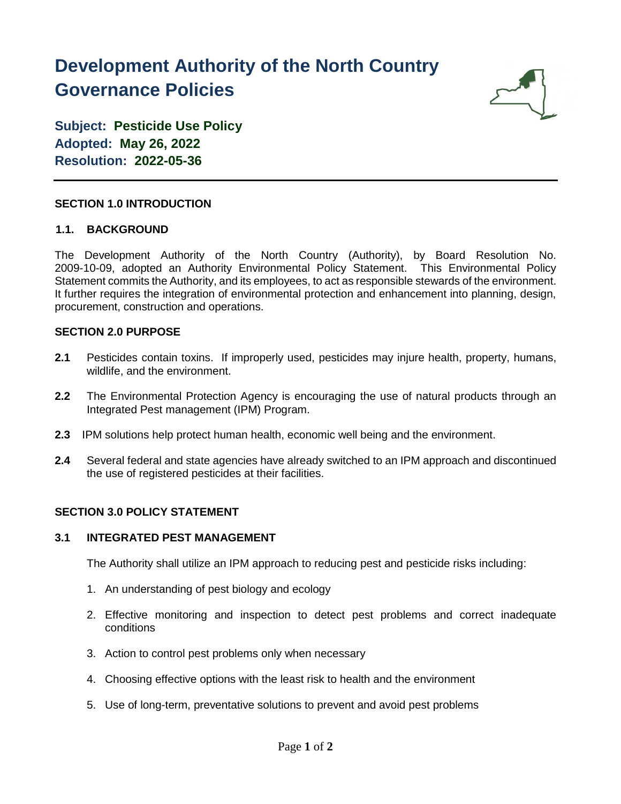# **Development Authority of the North Country Governance Policies**



**Subject: Pesticide Use Policy Adopted: May 26, 2022 Resolution: 2022-05-36**

## **SECTION 1.0 INTRODUCTION**

## **1.1. BACKGROUND**

The Development Authority of the North Country (Authority), by Board Resolution No. 2009-10-09, adopted an Authority Environmental Policy Statement. This Environmental Policy Statement commits the Authority, and its employees, to act as responsible stewards of the environment. It further requires the integration of environmental protection and enhancement into planning, design, procurement, construction and operations.

## **SECTION 2.0 PURPOSE**

- **2.1** Pesticides contain toxins. If improperly used, pesticides may injure health, property, humans, wildlife, and the environment.
- **2.2** The Environmental Protection Agency is encouraging the use of natural products through an Integrated Pest management (IPM) Program.
- **2.3** IPM solutions help protect human health, economic well being and the environment.
- **2.4** Several federal and state agencies have already switched to an IPM approach and discontinued the use of registered pesticides at their facilities.

## **SECTION 3.0 POLICY STATEMENT**

### **3.1 INTEGRATED PEST MANAGEMENT**

The Authority shall utilize an IPM approach to reducing pest and pesticide risks including:

- 1. An understanding of pest biology and ecology
- 2. Effective monitoring and inspection to detect pest problems and correct inadequate conditions
- 3. Action to control pest problems only when necessary
- 4. Choosing effective options with the least risk to health and the environment
- 5. Use of long-term, preventative solutions to prevent and avoid pest problems